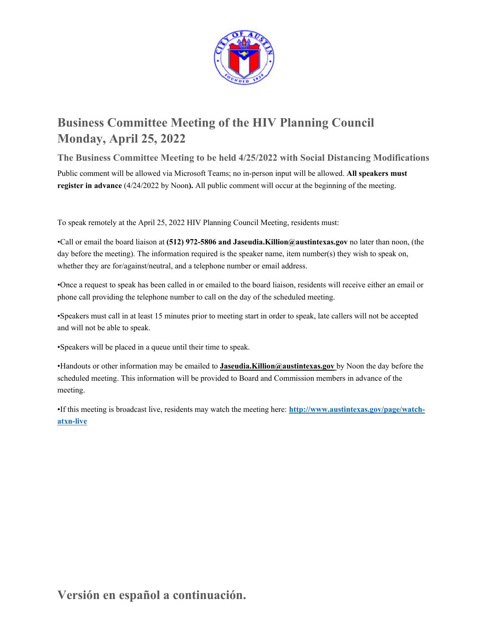

# **Business Committee Meeting of the HIV Planning Council Monday, April 25, 2022**

**The Business Committee Meeting to be held 4/25/2022 with Social Distancing Modifications**  Public comment will be allowed via Microsoft Teams; no in-person input will be allowed. **All speakers must register in advance** (4/24/2022 by Noon**).** All public comment will occur at the beginning of the meeting.

To speak remotely at the April 25, 2022 HIV Planning Council Meeting, residents must:

•Call or email the board liaison at **(512) 972-5806 and Jaseudia.Killion@austintexas.gov** no later than noon, (the day before the meeting). The information required is the speaker name, item number(s) they wish to speak on, whether they are for/against/neutral, and a telephone number or email address.

•Once a request to speak has been called in or emailed to the board liaison, residents will receive either an email or phone call providing the telephone number to call on the day of the scheduled meeting.

•Speakers must call in at least 15 minutes prior to meeting start in order to speak, late callers will not be accepted and will not be able to speak.

•Speakers will be placed in a queue until their time to speak.

•Handouts or other information may be emailed to **Jaseudia.Killion@austintexas.gov** by Noon the day before the scheduled meeting. This information will be provided to Board and Commission members in advance of the meeting.

•If this meeting is broadcast live, residents may watch the meeting here: **http://www.austintexas.gov/page/watchatxn-live**

**Versión en español a continuación.**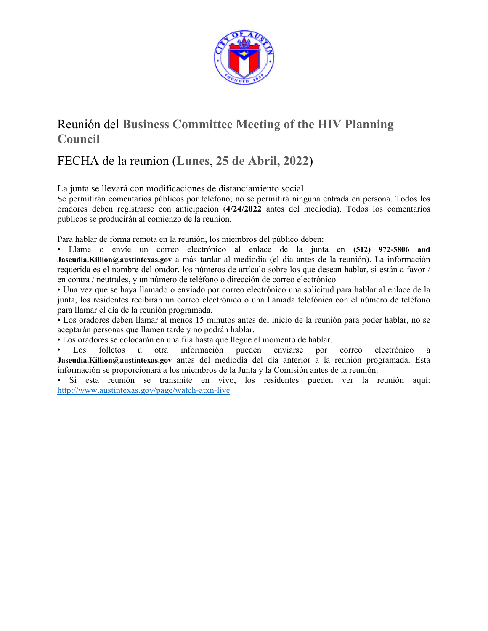

# Reunión del **Business Committee Meeting of the HIV Planning Council**

# FECHA de la reunion (**Lunes**, **25 de Abril, 2022**)

La junta se llevará con modificaciones de distanciamiento social

Se permitirán comentarios públicos por teléfono; no se permitirá ninguna entrada en persona. Todos los oradores deben registrarse con anticipación (**4/24/2022** antes del mediodía). Todos los comentarios públicos se producirán al comienzo de la reunión.

Para hablar de forma remota en la reunión, los miembros del público deben:

• Llame o envíe un correo electrónico al enlace de la junta en **(512) 972-5806 and Jaseudia.Killion@austintexas.gov** a más tardar al mediodía (el día antes de la reunión). La información requerida es el nombre del orador, los números de artículo sobre los que desean hablar, si están a favor / en contra / neutrales, y un número de teléfono o dirección de correo electrónico.

• Una vez que se haya llamado o enviado por correo electrónico una solicitud para hablar al enlace de la junta, los residentes recibirán un correo electrónico o una llamada telefónica con el número de teléfono para llamar el día de la reunión programada.

• Los oradores deben llamar al menos 15 minutos antes del inicio de la reunión para poder hablar, no se aceptarán personas que llamen tarde y no podrán hablar.

• Los oradores se colocarán en una fila hasta que llegue el momento de hablar.

Los folletos u otra información pueden enviarse por correo electrónico a **Jaseudia.Killion@austintexas.gov** antes del mediodía del día anterior a la reunión programada. Esta información se proporcionará a los miembros de la Junta y la Comisión antes de la reunión.

• Si esta reunión se transmite en vivo, los residentes pueden ver la reunión aquí: http://www.austintexas.gov/page/watch-atxn-live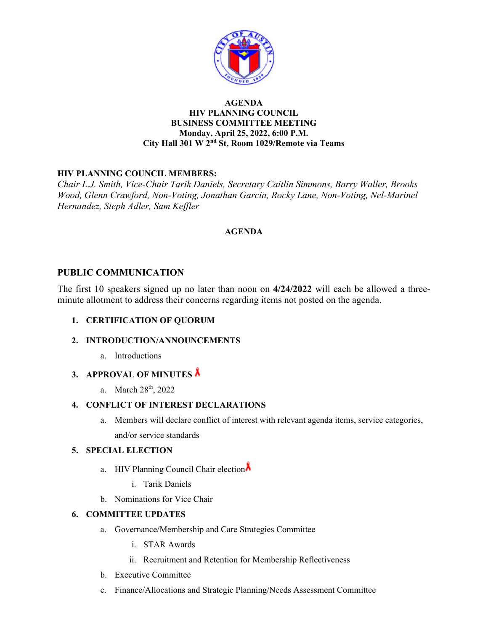

#### **AGENDA HIV PLANNING COUNCIL BUSINESS COMMITTEE MEETING Monday, April 25, 2022, 6:00 P.M. City Hall 301 W 2nd St, Room 1029/Remote via Teams**

## **HIV PLANNING COUNCIL MEMBERS:**

*Chair L.J. Smith, Vice-Chair Tarik Daniels, Secretary Caitlin Simmons, Barry Waller, Brooks Wood, Glenn Crawford, Non-Voting, Jonathan Garcia, Rocky Lane, Non-Voting, Nel-Marinel Hernandez, Steph Adler, Sam Keffler* 

### **AGENDA**

## **PUBLIC COMMUNICATION**

The first 10 speakers signed up no later than noon on **4/24/2022** will each be allowed a threeminute allotment to address their concerns regarding items not posted on the agenda.

### **1. CERTIFICATION OF QUORUM**

#### **2. INTRODUCTION/ANNOUNCEMENTS**

a. Introductions

## **3. APPROVAL OF MINUTES**

a. March 28<sup>th</sup>, 2022

#### **4. CONFLICT OF INTEREST DECLARATIONS**

a. Members will declare conflict of interest with relevant agenda items, service categories, and/or service standards

#### **5. SPECIAL ELECTION**

- a. HIV Planning Council Chair election
	- i. Tarik Daniels
- b. Nominations for Vice Chair

### **6. COMMITTEE UPDATES**

- a. Governance/Membership and Care Strategies Committee
	- i. STAR Awards
	- ii. Recruitment and Retention for Membership Reflectiveness
- b. Executive Committee
- c. Finance/Allocations and Strategic Planning/Needs Assessment Committee